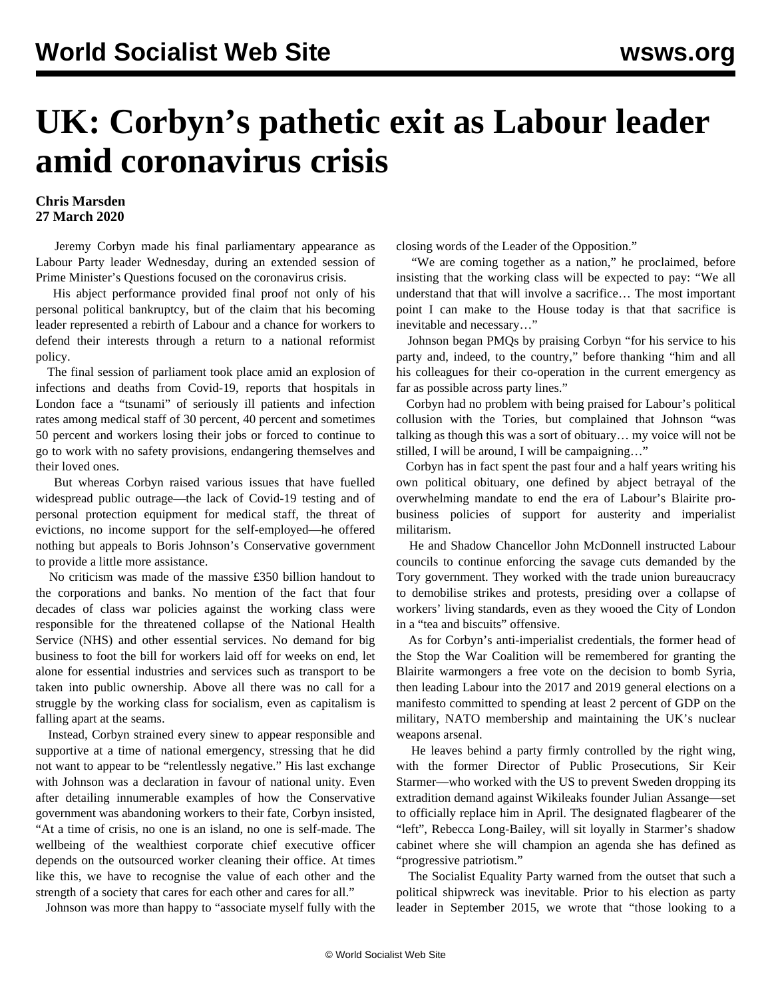## **UK: Corbyn's pathetic exit as Labour leader amid coronavirus crisis**

## **Chris Marsden 27 March 2020**

 Jeremy Corbyn made his final parliamentary appearance as Labour Party leader Wednesday, during an extended session of Prime Minister's Questions focused on the coronavirus crisis.

 His abject performance provided final proof not only of his personal political bankruptcy, but of the claim that his becoming leader represented a rebirth of Labour and a chance for workers to defend their interests through a return to a national reformist policy.

 The final session of parliament took place amid an explosion of infections and deaths from Covid-19, reports that hospitals in London face a "tsunami" of seriously ill patients and infection rates among medical staff of 30 percent, 40 percent and sometimes 50 percent and workers losing their jobs or forced to continue to go to work with no safety provisions, endangering themselves and their loved ones.

 But whereas Corbyn raised various issues that have fuelled widespread public outrage—the lack of Covid-19 testing and of personal protection equipment for medical staff, the threat of evictions, no income support for the self-employed—he offered nothing but appeals to Boris Johnson's Conservative government to provide a little more assistance.

 No criticism was made of the massive £350 billion handout to the corporations and banks. No mention of the fact that four decades of class war policies against the working class were responsible for the threatened collapse of the National Health Service (NHS) and other essential services. No demand for big business to foot the bill for workers laid off for weeks on end, let alone for essential industries and services such as transport to be taken into public ownership. Above all there was no call for a struggle by the working class for socialism, even as capitalism is falling apart at the seams.

 Instead, Corbyn strained every sinew to appear responsible and supportive at a time of national emergency, stressing that he did not want to appear to be "relentlessly negative." His last exchange with Johnson was a declaration in favour of national unity. Even after detailing innumerable examples of how the Conservative government was abandoning workers to their fate, Corbyn insisted, "At a time of crisis, no one is an island, no one is self-made. The wellbeing of the wealthiest corporate chief executive officer depends on the outsourced worker cleaning their office. At times like this, we have to recognise the value of each other and the strength of a society that cares for each other and cares for all."

Johnson was more than happy to "associate myself fully with the

closing words of the Leader of the Opposition."

 "We are coming together as a nation," he proclaimed, before insisting that the working class will be expected to pay: "We all understand that that will involve a sacrifice… The most important point I can make to the House today is that that sacrifice is inevitable and necessary…"

 Johnson began PMQs by praising Corbyn "for his service to his party and, indeed, to the country," before thanking "him and all his colleagues for their co-operation in the current emergency as far as possible across party lines."

 Corbyn had no problem with being praised for Labour's political collusion with the Tories, but complained that Johnson "was talking as though this was a sort of obituary… my voice will not be stilled, I will be around, I will be campaigning…"

 Corbyn has in fact spent the past four and a half years writing his own political obituary, one defined by abject betrayal of the overwhelming mandate to end the era of Labour's Blairite probusiness policies of support for austerity and imperialist militarism.

 He and Shadow Chancellor John McDonnell instructed Labour councils to continue enforcing the savage cuts demanded by the Tory government. They worked with the trade union bureaucracy to demobilise strikes and protests, presiding over a collapse of workers' living standards, even as they wooed the City of London in a "tea and biscuits" offensive.

 As for Corbyn's anti-imperialist credentials, the former head of the Stop the War Coalition will be remembered for granting the Blairite warmongers a free vote on the decision to bomb Syria, then leading Labour into the 2017 and 2019 general elections on a manifesto committed to spending at least 2 percent of GDP on the military, NATO membership and maintaining the UK's nuclear weapons arsenal.

 He leaves behind a party firmly controlled by the right wing, with the former Director of Public Prosecutions, Sir Keir Starmer—who worked with the US to prevent Sweden dropping its extradition demand against Wikileaks founder Julian Assange—set to officially replace him in April. The designated flagbearer of the "left", Rebecca Long-Bailey, will sit loyally in Starmer's shadow cabinet where she will champion an agenda she has defined as "progressive patriotism."

 The Socialist Equality Party warned from the outset that such a political shipwreck was inevitable. Prior to his election as party leader in September 2015, we wrote that "those looking to a